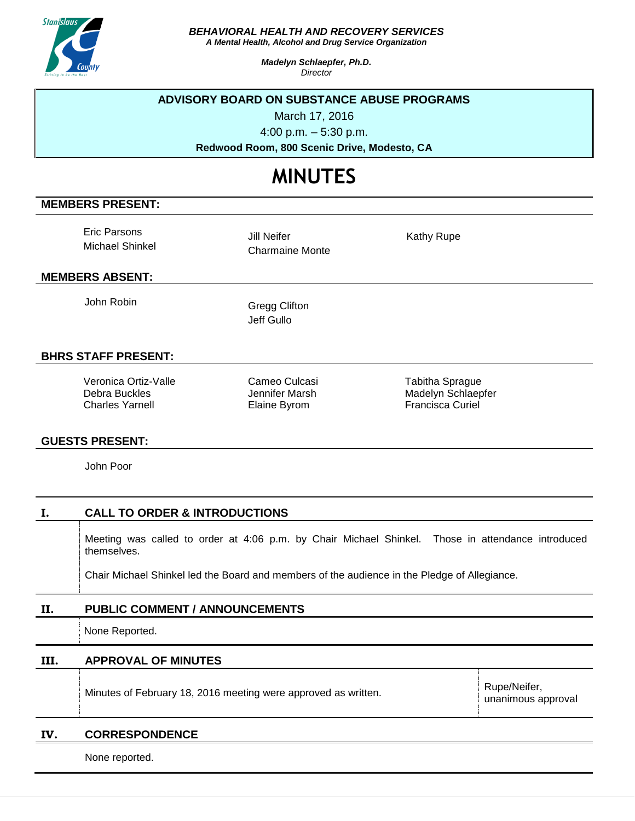

*BEHAVIORAL HEALTH AND RECOVERY SERVICES*

*A Mental Health, Alcohol and Drug Service Organization*

*Madelyn Schlaepfer, Ph.D. Director*

#### **ADVISORY BOARD ON SUBSTANCE ABUSE PROGRAMS**

March 17, 2016

4:00 p.m. – 5:30 p.m.

**Redwood Room, 800 Scenic Drive, Modesto, CA**

# **MINUTES**

## **MEMBERS PRESENT:**

Eric Parsons Michael Shinkel

Jill Neifer Charmaine Monte Kathy Rupe

#### **MEMBERS ABSENT:**

John Robin Gregg Clifton

Jeff Gullo

## **BHRS STAFF PRESENT:**

Veronica Ortiz-Valle Debra Buckles Charles Yarnell

Cameo Culcasi Jennifer Marsh Elaine Byrom

Tabitha Sprague Madelyn Schlaepfer Francisca Curiel

#### **GUESTS PRESENT:**

John Poor

## **I. CALL TO ORDER & INTRODUCTIONS**

Meeting was called to order at 4:06 p.m. by Chair Michael Shinkel. Those in attendance introduced themselves.

Chair Michael Shinkel led the Board and members of the audience in the Pledge of Allegiance.

## **II. PUBLIC COMMENT / ANNOUNCEMENTS**

None Reported.

**III. APPROVAL OF MINUTES** Minutes of February 18, 2016 meeting were approved as written. Rupe/Neifer, unanimous approval

## **IV. CORRESPONDENCE**

None reported.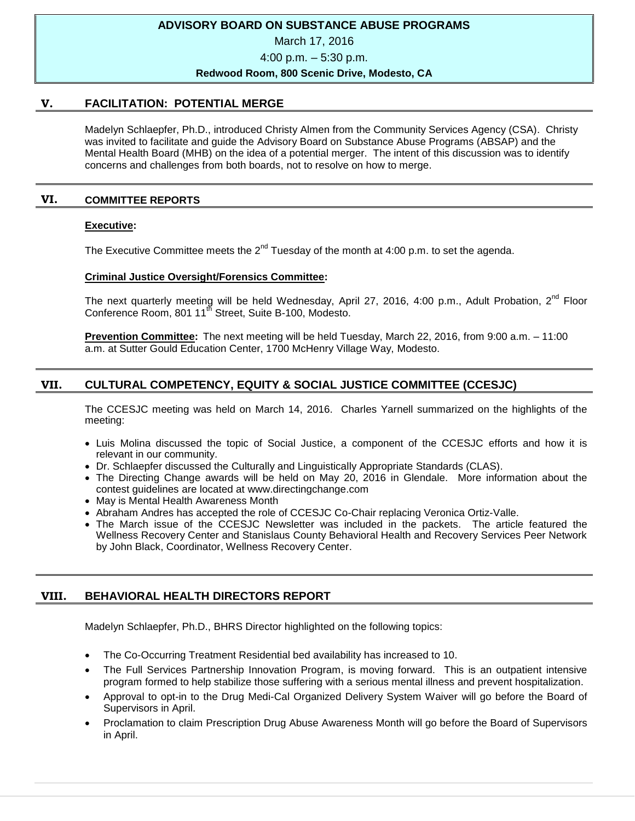## **ADVISORY BOARD ON SUBSTANCE ABUSE PROGRAMS**

March 17, 2016

4:00 p.m. – 5:30 p.m.

#### **Redwood Room, 800 Scenic Drive, Modesto, CA**

## **V. FACILITATION: POTENTIAL MERGE**

Madelyn Schlaepfer, Ph.D., introduced Christy Almen from the Community Services Agency (CSA). Christy was invited to facilitate and guide the Advisory Board on Substance Abuse Programs (ABSAP) and the Mental Health Board (MHB) on the idea of a potential merger. The intent of this discussion was to identify concerns and challenges from both boards, not to resolve on how to merge.

## **VI. COMMITTEE REPORTS**

#### **Executive:**

The Executive Committee meets the  $2^{nd}$  Tuesday of the month at 4:00 p.m. to set the agenda.

#### **Criminal Justice Oversight/Forensics Committee:**

The next quarterly meeting will be held Wednesday, April 27, 2016, 4:00 p.m., Adult Probation, 2<sup>nd</sup> Floor Conference Room, 801 11<sup>th</sup> Street, Suite B-100, Modesto.

**Prevention Committee:** The next meeting will be held Tuesday, March 22, 2016, from 9:00 a.m. – 11:00 a.m. at Sutter Gould Education Center, 1700 McHenry Village Way, Modesto.

# **VII. CULTURAL COMPETENCY, EQUITY & SOCIAL JUSTICE COMMITTEE (CCESJC)**

The CCESJC meeting was held on March 14, 2016. Charles Yarnell summarized on the highlights of the meeting:

- Luis Molina discussed the topic of Social Justice, a component of the CCESJC efforts and how it is relevant in our community.
- Dr. Schlaepfer discussed the Culturally and Linguistically Appropriate Standards (CLAS).
- The Directing Change awards will be held on May 20, 2016 in Glendale. More information about the contest guidelines are located at www.directingchange.com
- May is Mental Health Awareness Month
- Abraham Andres has accepted the role of CCESJC Co-Chair replacing Veronica Ortiz-Valle.
- The March issue of the CCESJC Newsletter was included in the packets. The article featured the Wellness Recovery Center and Stanislaus County Behavioral Health and Recovery Services Peer Network by John Black, Coordinator, Wellness Recovery Center.

# **VIII. BEHAVIORAL HEALTH DIRECTORS REPORT**

Madelyn Schlaepfer, Ph.D., BHRS Director highlighted on the following topics:

- The Co-Occurring Treatment Residential bed availability has increased to 10.
- The Full Services Partnership Innovation Program, is moving forward. This is an outpatient intensive program formed to help stabilize those suffering with a serious mental illness and prevent hospitalization.
- Approval to opt-in to the Drug Medi-Cal Organized Delivery System Waiver will go before the Board of Supervisors in April.
- Proclamation to claim Prescription Drug Abuse Awareness Month will go before the Board of Supervisors in April.